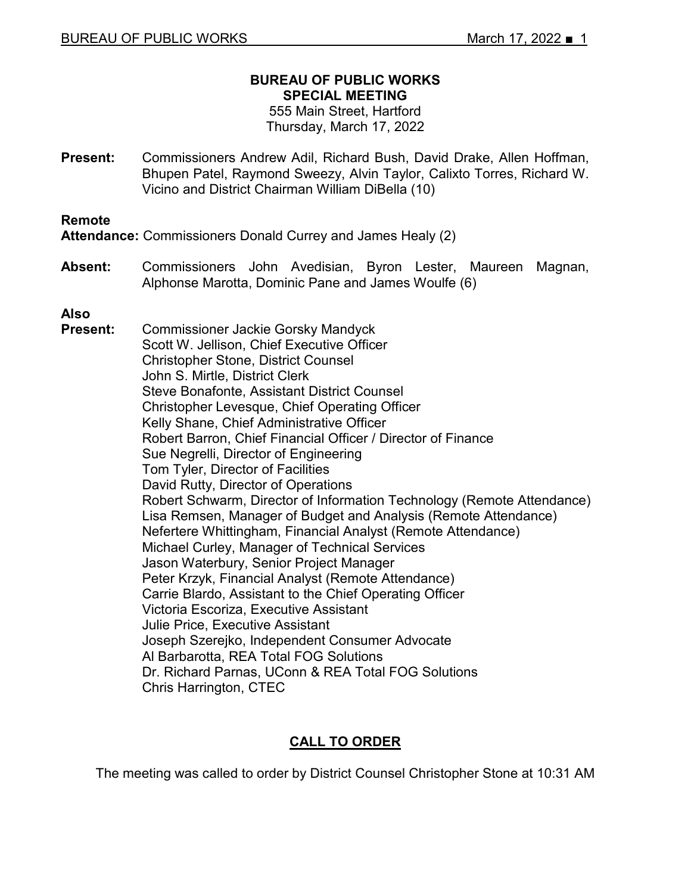#### **BUREAU OF PUBLIC WORKS SPECIAL MEETING**

555 Main Street, Hartford Thursday, March 17, 2022

**Present:** Commissioners Andrew Adil, Richard Bush, David Drake, Allen Hoffman, Bhupen Patel, Raymond Sweezy, Alvin Taylor, Calixto Torres, Richard W. Vicino and District Chairman William DiBella (10)

#### **Remote**

**Attendance:** Commissioners Donald Currey and James Healy (2)

**Absent:** Commissioners John Avedisian, Byron Lester, Maureen Magnan, Alphonse Marotta, Dominic Pane and James Woulfe (6)

**Also Present:** Commissioner Jackie Gorsky Mandyck Scott W. Jellison, Chief Executive Officer Christopher Stone, District Counsel John S. Mirtle, District Clerk Steve Bonafonte, Assistant District Counsel Christopher Levesque, Chief Operating Officer Kelly Shane, Chief Administrative Officer Robert Barron, Chief Financial Officer / Director of Finance Sue Negrelli, Director of Engineering Tom Tyler, Director of Facilities David Rutty, Director of Operations Robert Schwarm, Director of Information Technology (Remote Attendance) Lisa Remsen, Manager of Budget and Analysis (Remote Attendance) Nefertere Whittingham, Financial Analyst (Remote Attendance) Michael Curley, Manager of Technical Services Jason Waterbury, Senior Project Manager Peter Krzyk, Financial Analyst (Remote Attendance) Carrie Blardo, Assistant to the Chief Operating Officer Victoria Escoriza, Executive Assistant Julie Price, Executive Assistant Joseph Szerejko, Independent Consumer Advocate Al Barbarotta, REA Total FOG Solutions Dr. Richard Parnas, UConn & REA Total FOG Solutions Chris Harrington, CTEC

## **CALL TO ORDER**

The meeting was called to order by District Counsel Christopher Stone at 10:31 AM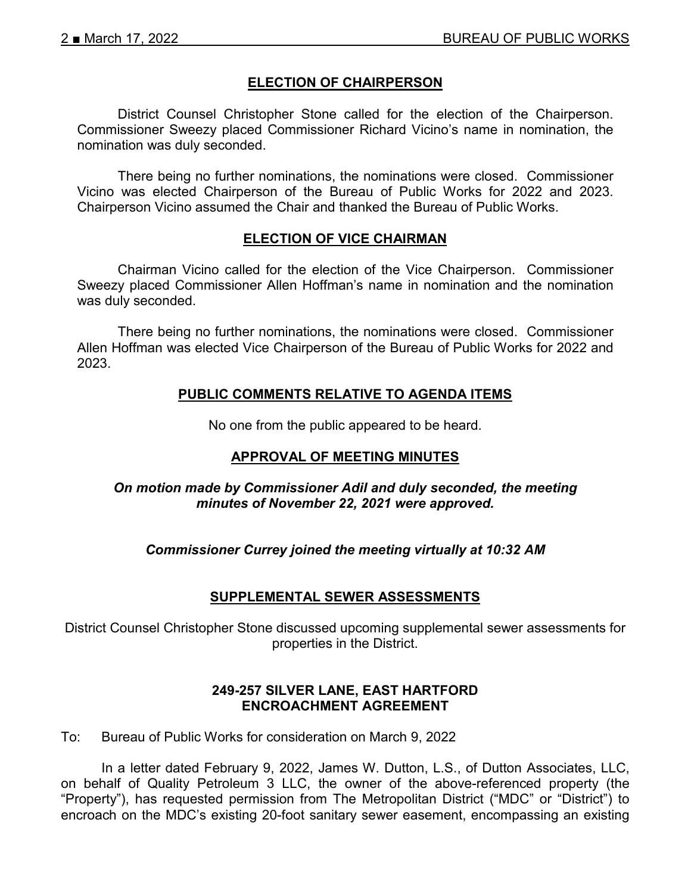## **ELECTION OF CHAIRPERSON**

District Counsel Christopher Stone called for the election of the Chairperson. Commissioner Sweezy placed Commissioner Richard Vicino's name in nomination, the nomination was duly seconded.

There being no further nominations, the nominations were closed. Commissioner Vicino was elected Chairperson of the Bureau of Public Works for 2022 and 2023. Chairperson Vicino assumed the Chair and thanked the Bureau of Public Works.

#### **ELECTION OF VICE CHAIRMAN**

Chairman Vicino called for the election of the Vice Chairperson. Commissioner Sweezy placed Commissioner Allen Hoffman's name in nomination and the nomination was duly seconded.

There being no further nominations, the nominations were closed. Commissioner Allen Hoffman was elected Vice Chairperson of the Bureau of Public Works for 2022 and 2023.

## **PUBLIC COMMENTS RELATIVE TO AGENDA ITEMS**

No one from the public appeared to be heard.

## **APPROVAL OF MEETING MINUTES**

#### *On motion made by Commissioner Adil and duly seconded, the meeting minutes of November 22, 2021 were approved.*

*Commissioner Currey joined the meeting virtually at 10:32 AM*

#### **SUPPLEMENTAL SEWER ASSESSMENTS**

District Counsel Christopher Stone discussed upcoming supplemental sewer assessments for properties in the District.

#### **249-257 SILVER LANE, EAST HARTFORD ENCROACHMENT AGREEMENT**

To: Bureau of Public Works for consideration on March 9, 2022

In a letter dated February 9, 2022, James W. Dutton, L.S., of Dutton Associates, LLC, on behalf of Quality Petroleum 3 LLC, the owner of the above-referenced property (the "Property"), has requested permission from The Metropolitan District ("MDC" or "District") to encroach on the MDC's existing 20-foot sanitary sewer easement, encompassing an existing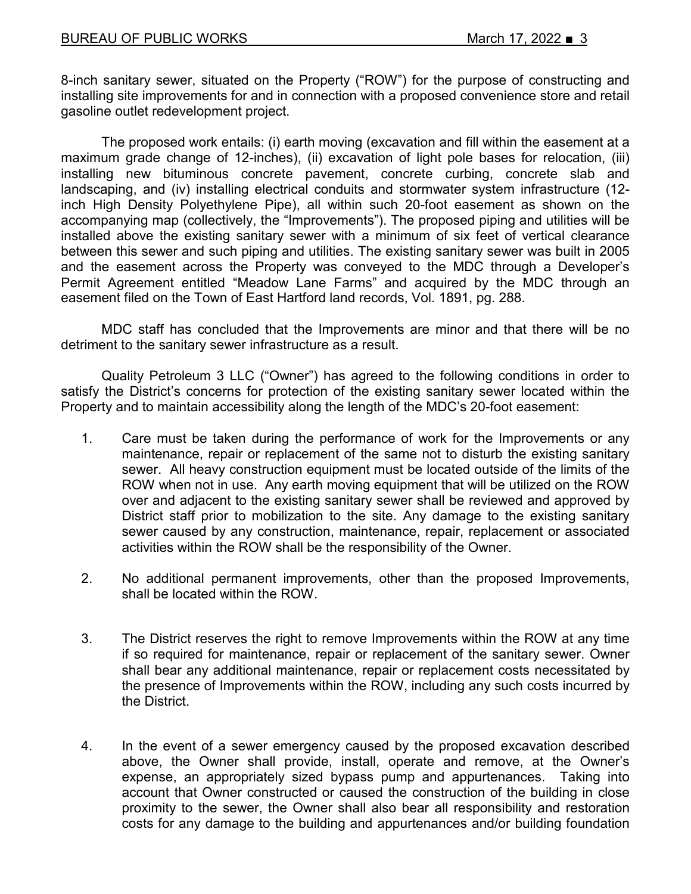8-inch sanitary sewer, situated on the Property ("ROW") for the purpose of constructing and installing site improvements for and in connection with a proposed convenience store and retail gasoline outlet redevelopment project.

The proposed work entails: (i) earth moving (excavation and fill within the easement at a maximum grade change of 12-inches), (ii) excavation of light pole bases for relocation, (iii) installing new bituminous concrete pavement, concrete curbing, concrete slab and landscaping, and (iv) installing electrical conduits and stormwater system infrastructure (12 inch High Density Polyethylene Pipe), all within such 20-foot easement as shown on the accompanying map (collectively, the "Improvements"). The proposed piping and utilities will be installed above the existing sanitary sewer with a minimum of six feet of vertical clearance between this sewer and such piping and utilities. The existing sanitary sewer was built in 2005 and the easement across the Property was conveyed to the MDC through a Developer's Permit Agreement entitled "Meadow Lane Farms" and acquired by the MDC through an easement filed on the Town of East Hartford land records, Vol. 1891, pg. 288.

MDC staff has concluded that the Improvements are minor and that there will be no detriment to the sanitary sewer infrastructure as a result.

Quality Petroleum 3 LLC ("Owner") has agreed to the following conditions in order to satisfy the District's concerns for protection of the existing sanitary sewer located within the Property and to maintain accessibility along the length of the MDC's 20-foot easement:

- 1. Care must be taken during the performance of work for the Improvements or any maintenance, repair or replacement of the same not to disturb the existing sanitary sewer. All heavy construction equipment must be located outside of the limits of the ROW when not in use. Any earth moving equipment that will be utilized on the ROW over and adjacent to the existing sanitary sewer shall be reviewed and approved by District staff prior to mobilization to the site. Any damage to the existing sanitary sewer caused by any construction, maintenance, repair, replacement or associated activities within the ROW shall be the responsibility of the Owner.
- 2. No additional permanent improvements, other than the proposed Improvements, shall be located within the ROW.
- 3. The District reserves the right to remove Improvements within the ROW at any time if so required for maintenance, repair or replacement of the sanitary sewer. Owner shall bear any additional maintenance, repair or replacement costs necessitated by the presence of Improvements within the ROW, including any such costs incurred by the District.
- 4. In the event of a sewer emergency caused by the proposed excavation described above, the Owner shall provide, install, operate and remove, at the Owner's expense, an appropriately sized bypass pump and appurtenances. Taking into account that Owner constructed or caused the construction of the building in close proximity to the sewer, the Owner shall also bear all responsibility and restoration costs for any damage to the building and appurtenances and/or building foundation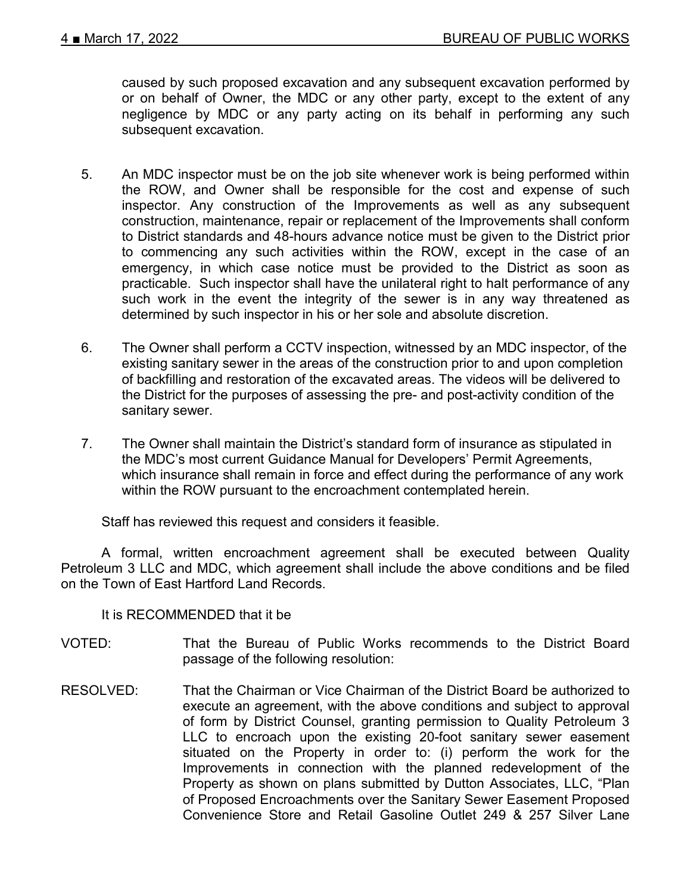caused by such proposed excavation and any subsequent excavation performed by or on behalf of Owner, the MDC or any other party, except to the extent of any negligence by MDC or any party acting on its behalf in performing any such subsequent excavation.

- 5. An MDC inspector must be on the job site whenever work is being performed within the ROW, and Owner shall be responsible for the cost and expense of such inspector. Any construction of the Improvements as well as any subsequent construction, maintenance, repair or replacement of the Improvements shall conform to District standards and 48-hours advance notice must be given to the District prior to commencing any such activities within the ROW, except in the case of an emergency, in which case notice must be provided to the District as soon as practicable. Such inspector shall have the unilateral right to halt performance of any such work in the event the integrity of the sewer is in any way threatened as determined by such inspector in his or her sole and absolute discretion.
- 6. The Owner shall perform a CCTV inspection, witnessed by an MDC inspector, of the existing sanitary sewer in the areas of the construction prior to and upon completion of backfilling and restoration of the excavated areas. The videos will be delivered to the District for the purposes of assessing the pre- and post-activity condition of the sanitary sewer.
- 7. The Owner shall maintain the District's standard form of insurance as stipulated in the MDC's most current Guidance Manual for Developers' Permit Agreements, which insurance shall remain in force and effect during the performance of any work within the ROW pursuant to the encroachment contemplated herein.

Staff has reviewed this request and considers it feasible.

A formal, written encroachment agreement shall be executed between Quality Petroleum 3 LLC and MDC, which agreement shall include the above conditions and be filed on the Town of East Hartford Land Records.

It is RECOMMENDED that it be

- VOTED: That the Bureau of Public Works recommends to the District Board passage of the following resolution:
- RESOLVED: That the Chairman or Vice Chairman of the District Board be authorized to execute an agreement, with the above conditions and subject to approval of form by District Counsel, granting permission to Quality Petroleum 3 LLC to encroach upon the existing 20-foot sanitary sewer easement situated on the Property in order to: (i) perform the work for the Improvements in connection with the planned redevelopment of the Property as shown on plans submitted by Dutton Associates, LLC, "Plan of Proposed Encroachments over the Sanitary Sewer Easement Proposed Convenience Store and Retail Gasoline Outlet 249 & 257 Silver Lane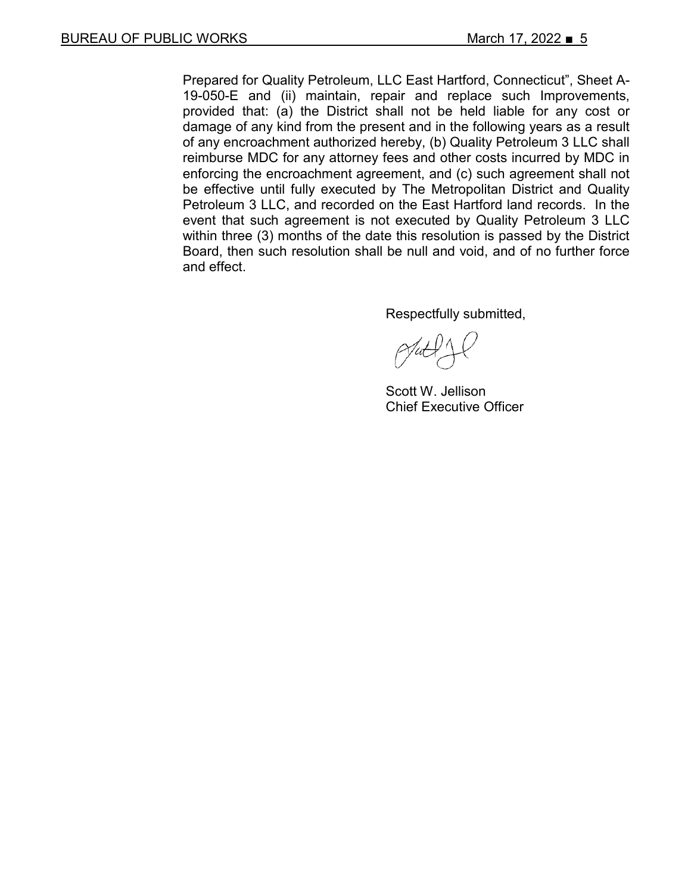Prepared for Quality Petroleum, LLC East Hartford, Connecticut", Sheet A-19-050-E and (ii) maintain, repair and replace such Improvements, provided that: (a) the District shall not be held liable for any cost or damage of any kind from the present and in the following years as a result of any encroachment authorized hereby, (b) Quality Petroleum 3 LLC shall reimburse MDC for any attorney fees and other costs incurred by MDC in enforcing the encroachment agreement, and (c) such agreement shall not be effective until fully executed by The Metropolitan District and Quality Petroleum 3 LLC, and recorded on the East Hartford land records. In the event that such agreement is not executed by Quality Petroleum 3 LLC within three (3) months of the date this resolution is passed by the District Board, then such resolution shall be null and void, and of no further force and effect.

Respectfully submitted,

Scott W. Jellison Chief Executive Officer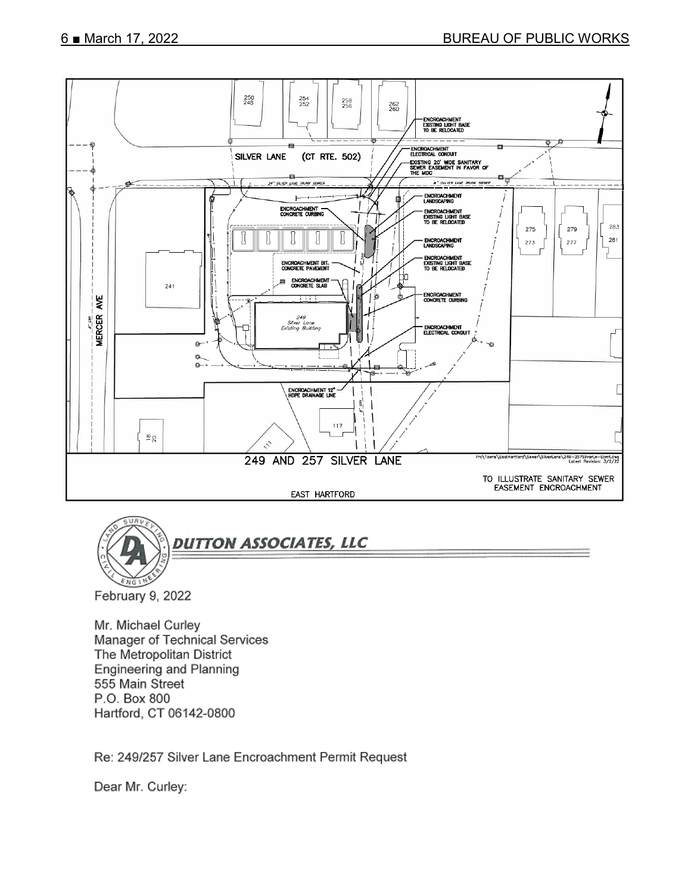



Mr. Michael Curley Manager of Technical Services The Metropolitan District Engineering and Planning 555 Main Street P.O. Box 800 Hartford, CT 06142-0800

Re: 249/257 Silver Lane Encroachment Permit Request

Dear Mr. Curley: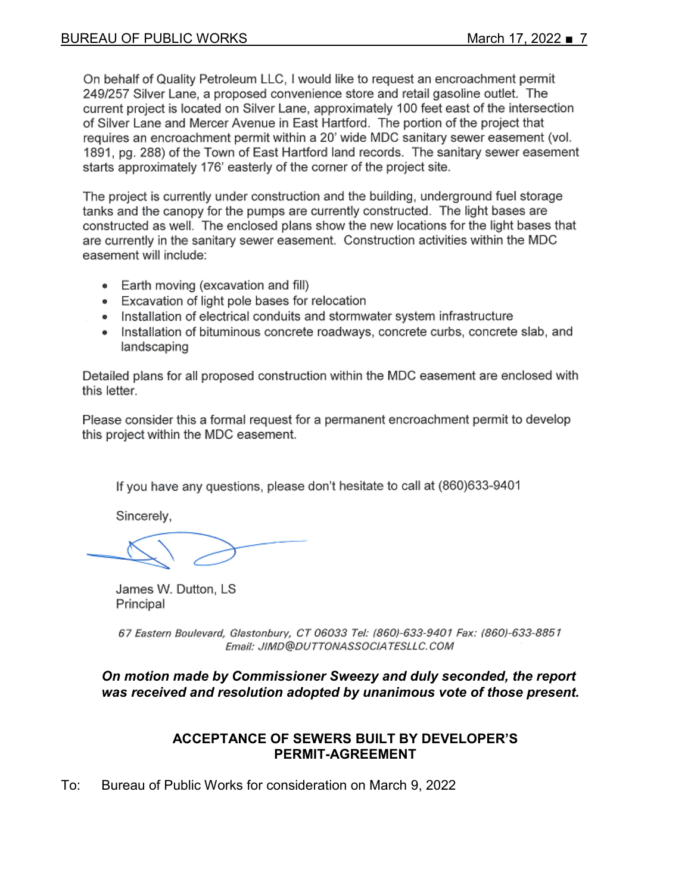On behalf of Quality Petroleum LLC, I would like to request an encroachment permit 249/257 Silver Lane, a proposed convenience store and retail gasoline outlet. The current project is located on Silver Lane, approximately 100 feet east of the intersection of Silver Lane and Mercer Avenue in East Hartford. The portion of the project that requires an encroachment permit within a 20' wide MDC sanitary sewer easement (vol. 1891, pg. 288) of the Town of East Hartford land records. The sanitary sewer easement starts approximately 176' easterly of the corner of the project site.

The project is currently under construction and the building, underground fuel storage tanks and the canopy for the pumps are currently constructed. The light bases are constructed as well. The enclosed plans show the new locations for the light bases that are currently in the sanitary sewer easement. Construction activities within the MDC easement will include:

- Earth moving (excavation and fill)
- Excavation of light pole bases for relocation
- . Installation of electrical conduits and stormwater system infrastructure
- Installation of bituminous concrete roadways, concrete curbs, concrete slab, and landscaping

Detailed plans for all proposed construction within the MDC easement are enclosed with this letter.

Please consider this a formal request for a permanent encroachment permit to develop this project within the MDC easement.

If you have any questions, please don't hesitate to call at (860)633-9401

Sincerely,

James W. Dutton, LS Principal

67 Eastern Boulevard, Glastonbury, CT 06033 Tel: (860)-633-9401 Fax: (860)-633-8851 Email: JIMD@DUTTONASSOCIATESLLC.COM

*On motion made by Commissioner Sweezy and duly seconded, the report was received and resolution adopted by unanimous vote of those present.*

#### **ACCEPTANCE OF SEWERS BUILT BY DEVELOPER'S PERMIT-AGREEMENT**

To: Bureau of Public Works for consideration on March 9, 2022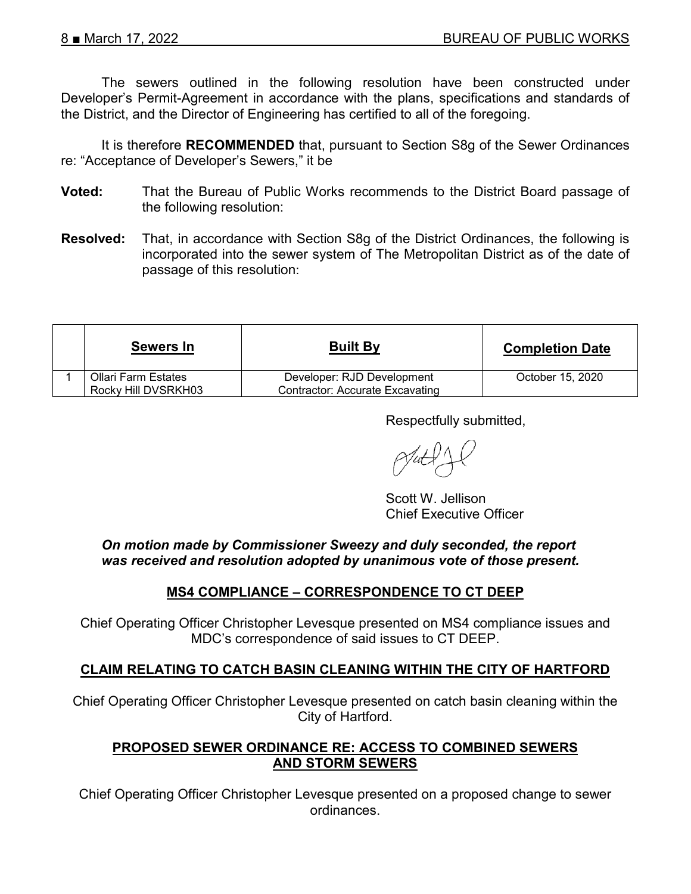The sewers outlined in the following resolution have been constructed under Developer's Permit-Agreement in accordance with the plans, specifications and standards of the District, and the Director of Engineering has certified to all of the foregoing.

It is therefore **RECOMMENDED** that, pursuant to Section S8g of the Sewer Ordinances re: "Acceptance of Developer's Sewers," it be

- **Voted:** That the Bureau of Public Works recommends to the District Board passage of the following resolution:
- **Resolved:** That, in accordance with Section S8g of the District Ordinances, the following is incorporated into the sewer system of The Metropolitan District as of the date of passage of this resolution:

| Sewers In                                  | <b>Built By</b>                                                      | <b>Completion Date</b> |
|--------------------------------------------|----------------------------------------------------------------------|------------------------|
| Ollari Farm Estates<br>Rocky Hill DVSRKH03 | Developer: RJD Development<br><b>Contractor: Accurate Excavating</b> | October 15, 2020       |

Respectfully submitted,

Scott W. Jellison Chief Executive Officer

*On motion made by Commissioner Sweezy and duly seconded, the report was received and resolution adopted by unanimous vote of those present.*

## **MS4 COMPLIANCE – CORRESPONDENCE TO CT DEEP**

Chief Operating Officer Christopher Levesque presented on MS4 compliance issues and MDC's correspondence of said issues to CT DEEP.

## **CLAIM RELATING TO CATCH BASIN CLEANING WITHIN THE CITY OF HARTFORD**

Chief Operating Officer Christopher Levesque presented on catch basin cleaning within the City of Hartford.

#### **PROPOSED SEWER ORDINANCE RE: ACCESS TO COMBINED SEWERS AND STORM SEWERS**

Chief Operating Officer Christopher Levesque presented on a proposed change to sewer ordinances.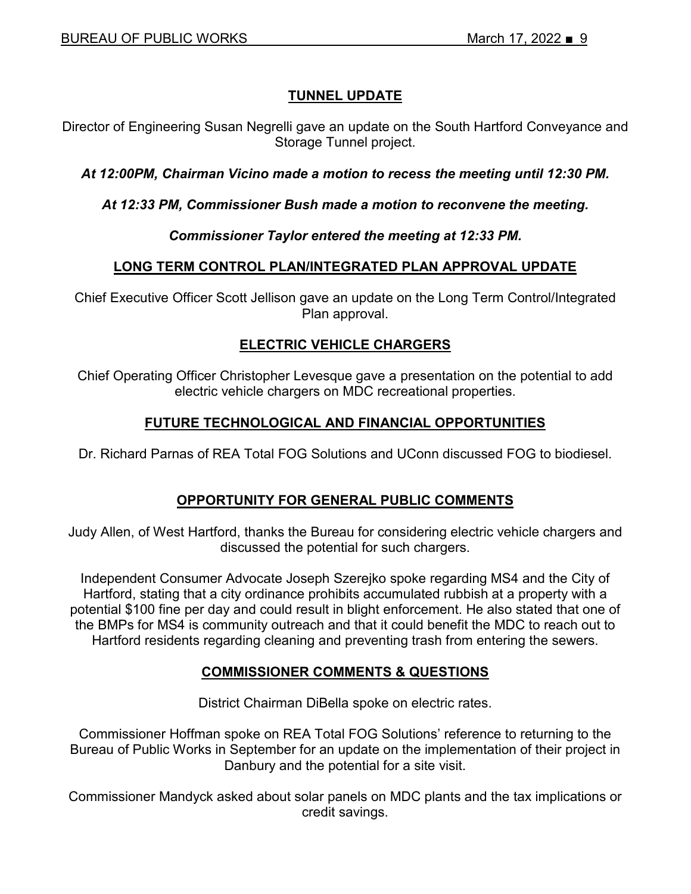# **TUNNEL UPDATE**

Director of Engineering Susan Negrelli gave an update on the South Hartford Conveyance and Storage Tunnel project.

*At 12:00PM, Chairman Vicino made a motion to recess the meeting until 12:30 PM.*

*At 12:33 PM, Commissioner Bush made a motion to reconvene the meeting.*

#### *Commissioner Taylor entered the meeting at 12:33 PM.*

## **LONG TERM CONTROL PLAN/INTEGRATED PLAN APPROVAL UPDATE**

Chief Executive Officer Scott Jellison gave an update on the Long Term Control/Integrated Plan approval.

# **ELECTRIC VEHICLE CHARGERS**

Chief Operating Officer Christopher Levesque gave a presentation on the potential to add electric vehicle chargers on MDC recreational properties.

## **FUTURE TECHNOLOGICAL AND FINANCIAL OPPORTUNITIES**

Dr. Richard Parnas of REA Total FOG Solutions and UConn discussed FOG to biodiesel.

## **OPPORTUNITY FOR GENERAL PUBLIC COMMENTS**

Judy Allen, of West Hartford, thanks the Bureau for considering electric vehicle chargers and discussed the potential for such chargers.

Independent Consumer Advocate Joseph Szerejko spoke regarding MS4 and the City of Hartford, stating that a city ordinance prohibits accumulated rubbish at a property with a potential \$100 fine per day and could result in blight enforcement. He also stated that one of the BMPs for MS4 is community outreach and that it could benefit the MDC to reach out to Hartford residents regarding cleaning and preventing trash from entering the sewers.

## **COMMISSIONER COMMENTS & QUESTIONS**

District Chairman DiBella spoke on electric rates.

Commissioner Hoffman spoke on REA Total FOG Solutions' reference to returning to the Bureau of Public Works in September for an update on the implementation of their project in Danbury and the potential for a site visit.

Commissioner Mandyck asked about solar panels on MDC plants and the tax implications or credit savings.